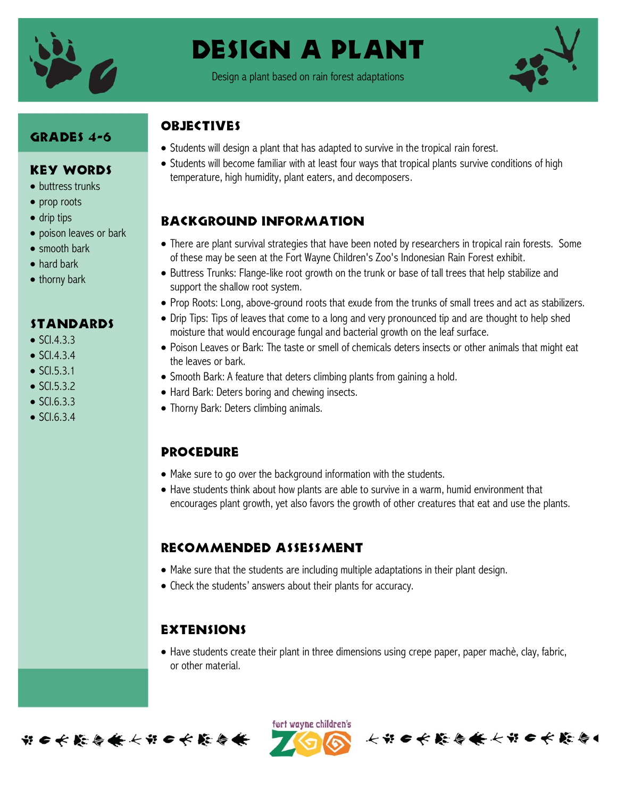

# Design a plant

Design a plant based on rain forest adaptations



### GRADES 4-6

#### Key Words

- buttress trunks
- prop roots
- drip tips
- poison leaves or bark
- smooth bark
- hard bark
- thorny bark

#### **STANDARDS**

- $\bullet$  SCI.4.3.3
- $\bullet$  SCI.4.3.4
- $\bullet$  SCI.5.3.1
- $\bullet$  SCI.5.3.2
- $\bullet$  SCI.6.3.3
- $\bullet$  SCI.6.3.4

## **OBJECTIVES**

- Students will design a plant that has adapted to survive in the tropical rain forest.
- Students will become familiar with at least four ways that tropical plants survive conditions of high temperature, high humidity, plant eaters, and decomposers.

## Background information

- There are plant survival strategies that have been noted by researchers in tropical rain forests. Some of these may be seen at the Fort Wayne Children's Zoo's Indonesian Rain Forest exhibit.
- Buttress Trunks: Flange-like root growth on the trunk or base of tall trees that help stabilize and support the shallow root system.
- Prop Roots: Long, above-ground roots that exude from the trunks of small trees and act as stabilizers.
- Drip Tips: Tips of leaves that come to a long and very pronounced tip and are thought to help shed moisture that would encourage fungal and bacterial growth on the leaf surface.
- Poison Leaves or Bark: The taste or smell of chemicals deters insects or other animals that might eat the leaves or bark.
- Smooth Bark: A feature that deters climbing plants from gaining a hold.
- Hard Bark: Deters boring and chewing insects.
- Thorny Bark: Deters climbing animals.

#### **PROCEDURE**

- Make sure to go over the background information with the students.
- Have students think about how plants are able to survive in a warm, humid environment that encourages plant growth, yet also favors the growth of other creatures that eat and use the plants.

#### Recommended assessment

- Make sure that the students are including multiple adaptations in their plant design.
- Check the students' answers about their plants for accuracy.

## **EXTENSIONS**

 Have students create their plant in three dimensions using crepe paper, paper machè, clay, fabric, or other material.



ført wayne children's 长节日长能与长长节日长能与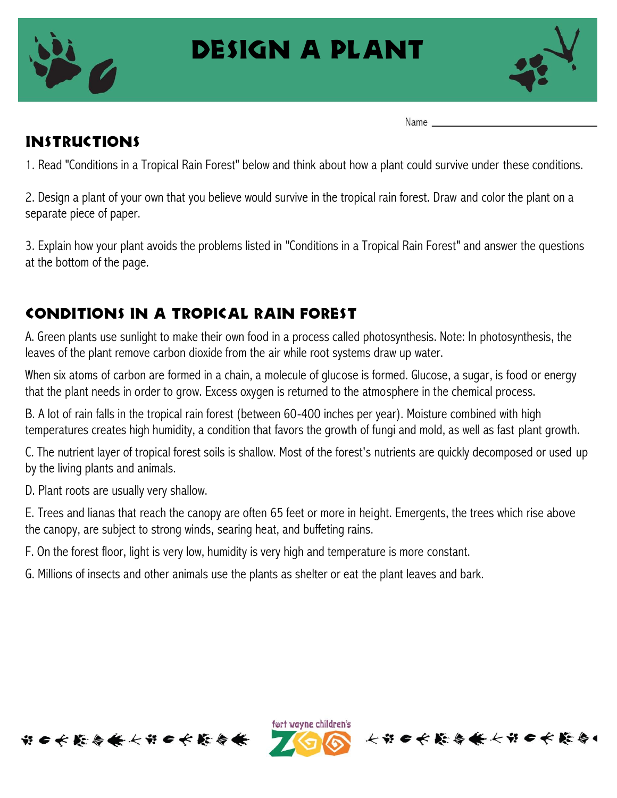

# Design a plant



Name

# Instructions

1. Read "Conditions in a Tropical Rain Forest" below and think about how a plant could survive under these conditions.

2. Design a plant of your own that you believe would survive in the tropical rain forest. Draw and color the plant on a separate piece of paper.

3. Explain how your plant avoids the problems listed in "Conditions in a Tropical Rain Forest" and answer the questions at the bottom of the page.

# Conditions in a Tropical Rain Forest

A. Green plants use sunlight to make their own food in a process called photosynthesis. Note: In photosynthesis, the leaves of the plant remove carbon dioxide from the air while root systems draw up water.

When six atoms of carbon are formed in a chain, a molecule of glucose is formed. Glucose, a sugar, is food or energy that the plant needs in order to grow. Excess oxygen is returned to the atmosphere in the chemical process.

B. A lot of rain falls in the tropical rain forest (between 60-400 inches per year). Moisture combined with high temperatures creates high humidity, a condition that favors the growth of fungi and mold, as well as fast plant growth.

C. The nutrient layer of tropical forest soils is shallow. Most of the forest's nutrients are quickly decomposed or used up by the living plants and animals.

D. Plant roots are usually very shallow.

E. Trees and lianas that reach the canopy are often 65 feet or more in height. Emergents, the trees which rise above the canopy, are subject to strong winds, searing heat, and buffeting rains.

F. On the forest floor, light is very low, humidity is very high and temperature is more constant.

G. Millions of insects and other animals use the plants as shelter or eat the plant leaves and bark.